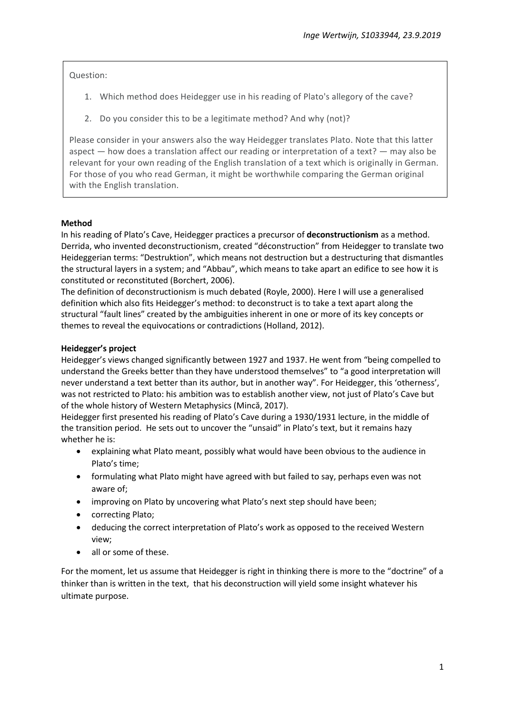Question:

- 1. Which method does Heidegger use in his reading of Plato's allegory of the cave?
- 2. Do you consider this to be a legitimate method? And why (not)?

Please consider in your answers also the way Heidegger translates Plato. Note that this latter aspect — how does a translation affect our reading or interpretation of a text? — may also be relevant for your own reading of the English translation of a text which is originally in German. For those of you who read German, it might be worthwhile comparing the German original with the English translation.

# **Method**

In his reading of Plato's Cave, Heidegger practices a precursor of **deconstructionism** as a method. Derrida, who invented deconstructionism, created "déconstruction" from Heidegger to translate two Heideggerian terms: "Destruktion", which means not destruction but a destructuring that dismantles the structural layers in a system; and "Abbau", which means to take apart an edifice to see how it is constituted or reconstituted (Borchert, 2006).

The definition of deconstructionism is much debated (Royle, 2000). Here I will use a generalised definition which also fits Heidegger's method: to deconstruct is to take a text apart along the structural "fault lines" created by the ambiguities inherent in one or more of its key concepts or themes to reveal the equivocations or contradictions (Holland, 2012).

### **Heidegger's project**

Heidegger's views changed significantly between 1927 and 1937. He went from "being compelled to understand the Greeks better than they have understood themselves" to "a good interpretation will never understand a text better than its author, but in another way". For Heidegger, this 'otherness', was not restricted to Plato: his ambition was to establish another view, not just of Plato's Cave but of the whole history of Western Metaphysics (Mincă, 2017).

Heidegger first presented his reading of Plato's Cave during a 1930/1931 lecture, in the middle of the transition period. He sets out to uncover the "unsaid" in Plato's text, but it remains hazy whether he is:

- explaining what Plato meant, possibly what would have been obvious to the audience in Plato's time;
- formulating what Plato might have agreed with but failed to say, perhaps even was not aware of;
- improving on Plato by uncovering what Plato's next step should have been;
- correcting Plato;
- deducing the correct interpretation of Plato's work as opposed to the received Western view;
- all or some of these.

For the moment, let us assume that Heidegger is right in thinking there is more to the "doctrine" of a thinker than is written in the text, that his deconstruction will yield some insight whatever his ultimate purpose.